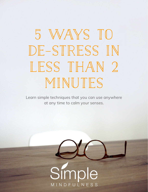# **5 Ways to de-stress in less than 2 minutes**

Learn simple techniques that you can use anywhere at any time to calm your senses.

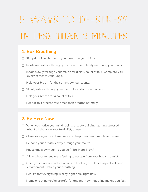## 5 ways to de-stress **in less than 2 minutes**

#### **1. Box Breathing**

- ▢ Sit upright in a chair with your hands on your thighs.
- ▢ Inhale and exhale through your mouth, completely emptying your lungs.
- □ Inhale slowly through your mouth for a slow count of four. Completely fill every corner of your lungs.
- ▢ Hold your breath for the same slow four counts.
- $\Box$  Slowly exhale through your mouth for a slow count of four.
- ▢ Hold your breath for a count of four.
- $\Box$  Repeat this process four times then breathe normally.

#### **2. Be Here Now**

- $\Box$  When you notice your mind racing, anxiety building, getting stressed about all that's on your to-do list, pause.
- $\Box$  Close your eyes, and take one very deep breath in through your nose.
- ▢ Release your breath slowly through your mouth.
- ▢ Pause and slowly say to yourself, "Be. Here. Now."
- ▢ Allow whatever you were feeling to escape from your body in a mist.
- ▢ Open your eyes and notice what's in front of you. Notice aspects of your environment. Notice your breathing.
- ▢ Realize that everything is okay right here, right now.
- ▢ Name one thing you're grateful for and feel how that thing makes you feel.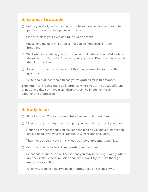#### **3. Express Gratitude**

- $\Box$  Before you start, find something to write with and on (i.e. your favorite pen and journal or your phone or tablet).
- ▢ Sit down, close your eyes and take a deep breath.
- ▢ Pause for a moment while you center yourself and focus on your breathing.
- ▢ Think about something you're grateful for and write it down. Write about the aspects of that thing for which you're grateful. Describe it in as much detail as possible.
- ▢ As you write, feel the feelings that this thing invokes for you. *Feel* the gratitude.
- ▢ Write about at least three things you're grateful for in this manner.

**Side note:** Turning this into a daily practice where you write about different things every day can have a significantly positive impact on those experiencing depression.

#### **4. Body Scan**

- $\Box$  Sit or lie down. Close your eyes. Take five deep, cleansing breaths.
- ▢ Slowly scan your body from the top of your head to the tips of your toes.
- ▢ Notice all the sensations you feel (or don't feel) as you move from the top of your head, over your face, tongue, jaw, neck and shoulders.
- ▢ Then move through your arms, chest, gut, lower abdomen, and hips.
- ▢ Continue down your legs, knees, ankles, feet and toes.
- $\Box$  Be curious about the painful sensations you may be feeling. Exactly where are they in the specific muscles and joints? Don't try to make them go away, simply notice.
- ▢ When you're done, take two deep breaths, releasing them slowly.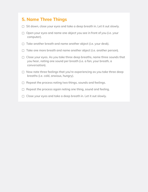#### **5. Name Three Things**

- ▢ Sit down, close your eyes and take a deep breath in. Let it out slowly.
- ▢ Open your eyes and name one object you see in front of you (i.e. your computer).
- ▢ Take another breath and name another object (i.e. your desk).
- ▢ Take one more breath and name another object (i.e. another person).
- ▢ Close your eyes. As you take three deep breaths, name three sounds that you hear, noting one sound per breath (i.e. a fan, your breath, a conversation).
- ▢ Now note three feelings that you're experiencing as you take three deep breaths (i.e. cold, anxious, hungry).
- ▢ Repeat the process noting two things, sounds and feelings.
- ▢ Repeat the process again noting one thing, sound and feeling.
- ▢ Close your eyes and take a deep breath in. Let it out slowly.